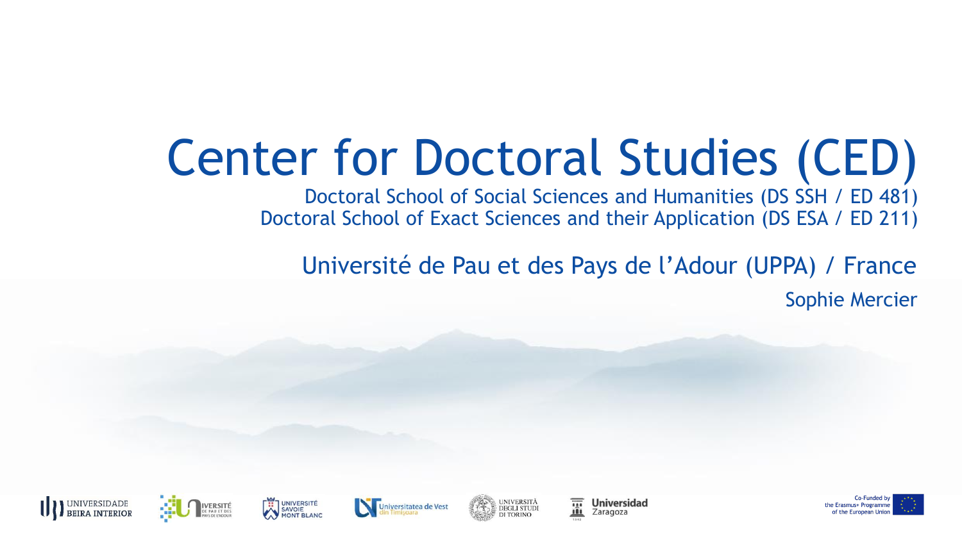# Center for Doctoral Studies (CED)

Doctoral School of Social Sciences and Humanities (DS SSH / ED 481) Doctoral School of Exact Sciences and their Application (DS ESA / ED 211)

Université de Pau et des Pays de l'Adour (UPPA) / France Sophie Mercier







**UNIVERSIDADE** 

**BEIRA INTERIOR** 











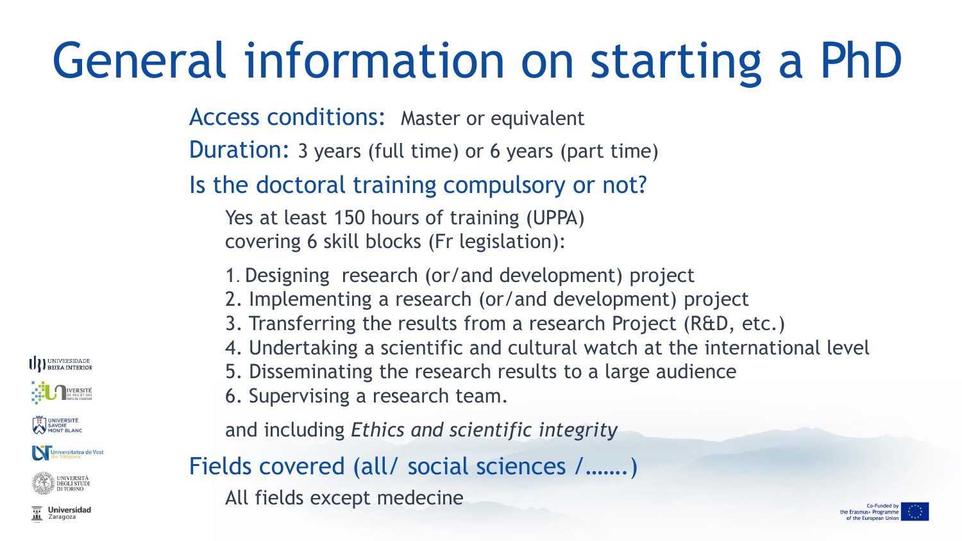# General information on starting a PhD

Access conditions: Master or equivalent

Duration: 3 years (full time) or 6 years (part time)

Is the doctoral training compulsory or not?

Yes at least 150 hours of training (UPPA) covering 6 skill blocks (Fr legislation):

- 1. Designing research (or/and development) project
- 2. Implementing a research (or/and development) project
- 3. Transferring the results from a research Project (R&D, etc.)
- 4. Undertaking a scientific and cultural watch at the international level
- 5. Disseminating the research results to a large audience
- 6. Supervising a research team.

and including *Ethics and scientific integrity*

Fields covered (all/ social sciences /…….)

All fields except medecine



**Universidad** Zaragoza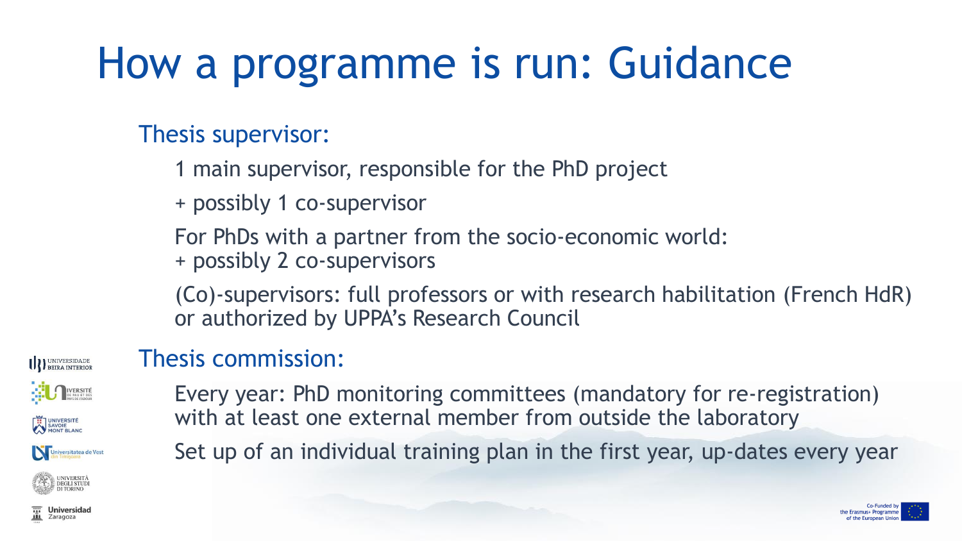## How a programme is run: Guidance

#### Thesis supervisor:

1 main supervisor, responsible for the PhD project

+ possibly 1 co-supervisor

For PhDs with a partner from the socio-economic world: + possibly 2 co-supervisors

(Co)-supervisors: full professors or with research habilitation (French HdR) or authorized by UPPA's Research Council

#### **III** BEIRA INTERIOR IVERSITÉ UNIVERSITÉ Universitatea de Vest **DEGLI STUDI**

#### Thesis commission:

Every year: PhD monitoring committees (mandatory for re-registration) with at least one external member from outside the laboratory

Set up of an individual training plan in the first year, up-dates every year

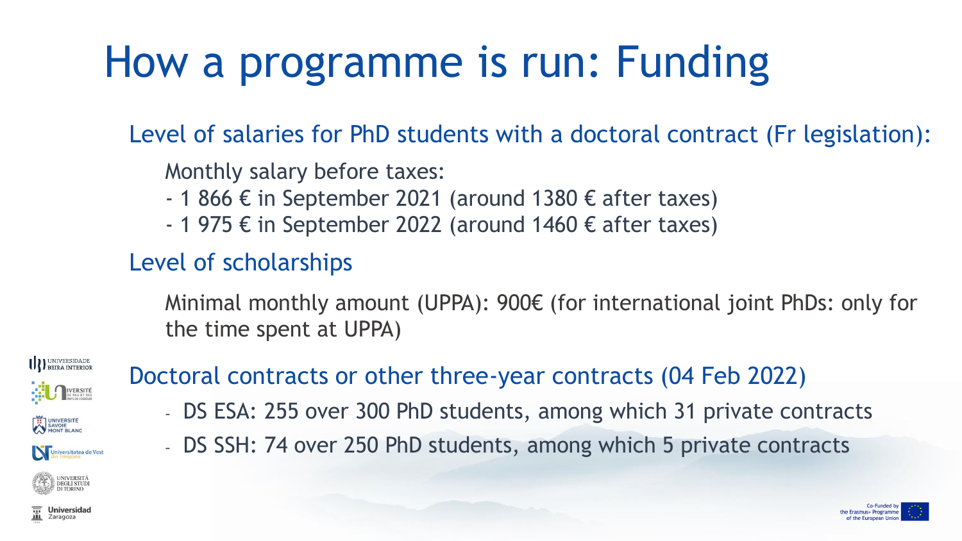## How a programme is run: Funding

#### Level of salaries for PhD students with a doctoral contract (Fr legislation):

#### Monthly salary before taxes:

- $-$  1 866 € in September 2021 (around 1380 € after taxes)
- $-$  1 975 € in September 2022 (around 1460 € after taxes)

#### Level of scholarships

Minimal monthly amount (UPPA): 900€ (for international joint PhDs: only for the time spent at UPPA)



#### Doctoral contracts or other three-year contracts (04 Feb 2022)

- DS ESA: 255 over 300 PhD students, among which 31 private contracts
- DS SSH: 74 over 250 PhD students, among which 5 private contracts



Zaragoza